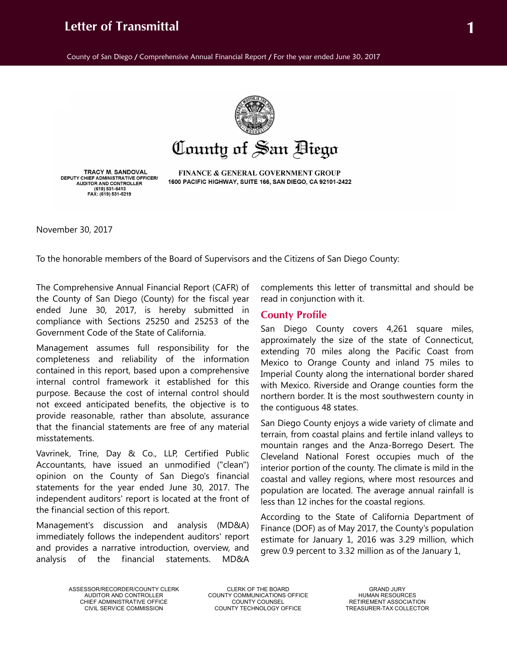# **Letter of Transmittal 1**

County of San Diego / Comprehensive Annual Financial Report / For the year ended June 30, 2017



County of San Biego

**TRACY M. SANDOVAL** DEPUTY CHIEF ADMINISTRATIVE OFFICER/<br>AUDITOR AND CONTROLLER (619) 531-5413 FAX: (619) 531-5219

FINANCE & GENERAL GOVERNMENT GROUP 1600 PACIFIC HIGHWAY, SUITE 166, SAN DIEGO, CA 92101-2422

November 30, 2017

To the honorable members of the Board of Supervisors and the Citizens of San Diego County:

The Comprehensive Annual Financial Report (CAFR) of the County of San Diego (County) for the fiscal year ended June 30, 2017, is hereby submitted in compliance with Sections 25250 and 25253 of the Government Code of the State of California.

Management assumes full responsibility for the completeness and reliability of the information contained in this report, based upon a comprehensive internal control framework it established for this purpose. Because the cost of internal control should not exceed anticipated benefits, the objective is to provide reasonable, rather than absolute, assurance that the financial statements are free of any material misstatements.

Vavrinek, Trine, Day & Co., LLP, Certified Public Accountants, have issued an unmodified ("clean") opinion on the County of San Diego's financial statements for the year ended June 30, 2017. The independent auditors' report is located at the front of the financial section of this report.

Management's discussion and analysis (MD&A) immediately follows the independent auditors' report and provides a narrative introduction, overview, and analysis of the financial statements. MD&A

complements this letter of transmittal and should be read in conjunction with it.

## **County Profile**

San Diego County covers 4,261 square miles, approximately the size of the state of Connecticut, extending 70 miles along the Pacific Coast from Mexico to Orange County and inland 75 miles to Imperial County along the international border shared with Mexico. Riverside and Orange counties form the northern border. It is the most southwestern county in the contiguous 48 states.

San Diego County enjoys a wide variety of climate and terrain, from coastal plains and fertile inland valleys to mountain ranges and the Anza-Borrego Desert. The Cleveland National Forest occupies much of the interior portion of the county. The climate is mild in the coastal and valley regions, where most resources and population are located. The average annual rainfall is less than 12 inches for the coastal regions.

According to the State of California Department of Finance (DOF) as of May 2017, the County's population estimate for January 1, 2016 was 3.29 million, which grew 0.9 percent to 3.32 million as of the January 1,

ASSESSOR/RECORDER/COUNTY CLERK CLERK OF THE BOARD GRAND JURY

COUNTY COMMUNICATIONS OFFICE HUMAN RESOURCES<br>COUNTY COUNSEL RETIREMENT ASSOCIATION CHIEF ADMINISTRATIVE OFFICE COUNTY COUNSEL RETIREMENT ASSOCIATION COUNTY TECHNOLOGY OFFICE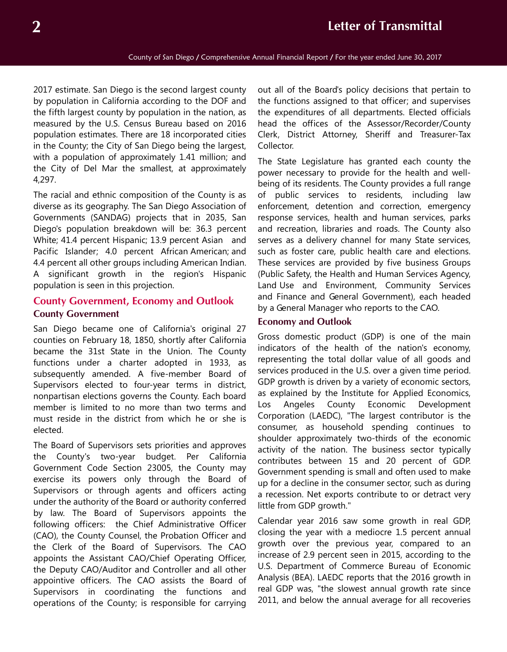2017 estimate. San Diego is the second largest county by population in California according to the DOF and the fifth largest county by population in the nation, as measured by the U.S. Census Bureau based on 2016 population estimates. There are 18 incorporated cities in the County; the City of San Diego being the largest, with a population of approximately 1.41 million; and the City of Del Mar the smallest, at approximately 4,297.

The racial and ethnic composition of the County is as diverse as its geography. The San Diego Association of Governments (SANDAG) projects that in 2035, San Diego's population breakdown will be: 36.3 percent White; 41.4 percent Hispanic; 13.9 percent Asian and Pacific Islander; 4.0 percent African American; and 4.4 percent all other groups including American Indian. A significant growth in the region's Hispanic population is seen in this projection.

# **County Government, Economy and Outlook County Government**

San Diego became one of California's original 27 counties on February 18, 1850, shortly after California became the 31st State in the Union. The County functions under a charter adopted in 1933, as subsequently amended. A five-member Board of Supervisors elected to four-year terms in district, nonpartisan elections governs the County. Each board member is limited to no more than two terms and must reside in the district from which he or she is elected.

The Board of Supervisors sets priorities and approves the County's two-year budget. Per California Government Code Section 23005, the County may exercise its powers only through the Board of Supervisors or through agents and officers acting under the authority of the Board or authority conferred by law. The Board of Supervisors appoints the following officers: the Chief Administrative Officer (CAO), the County Counsel, the Probation Officer and the Clerk of the Board of Supervisors. The CAO appoints the Assistant CAO/Chief Operating Officer, the Deputy CAO/Auditor and Controller and all other appointive officers. The CAO assists the Board of Supervisors in coordinating the functions and operations of the County; is responsible for carrying

out all of the Board's policy decisions that pertain to the functions assigned to that officer; and supervises the expenditures of all departments. Elected officials head the offices of the Assessor/Recorder/County Clerk, District Attorney, Sheriff and Treasurer-Tax Collector.

The State Legislature has granted each county the power necessary to provide for the health and wellbeing of its residents. The County provides a full range of public services to residents, including law enforcement, detention and correction, emergency response services, health and human services, parks and recreation, libraries and roads. The County also serves as a delivery channel for many State services, such as foster care, public health care and elections. These services are provided by five business Groups (Public Safety, the Health and Human Services Agency, Land Use and Environment, Community Services and Finance and General Government), each headed by a General Manager who reports to the CAO.

#### **Economy and Outlook**

Gross domestic product (GDP) is one of the main indicators of the health of the nation's economy, representing the total dollar value of all goods and services produced in the U.S. over a given time period. GDP growth is driven by a variety of economic sectors, as explained by the Institute for Applied Economics, Los Angeles County Economic Development Corporation (LAEDC), "The largest contributor is the consumer, as household spending continues to shoulder approximately two-thirds of the economic activity of the nation. The business sector typically contributes between 15 and 20 percent of GDP. Government spending is small and often used to make up for a decline in the consumer sector, such as during a recession. Net exports contribute to or detract very little from GDP growth."

Calendar year 2016 saw some growth in real GDP, closing the year with a mediocre 1.5 percent annual growth over the previous year, compared to an increase of 2.9 percent seen in 2015, according to the U.S. Department of Commerce Bureau of Economic Analysis (BEA). LAEDC reports that the 2016 growth in real GDP was, "the slowest annual growth rate since 2011, and below the annual average for all recoveries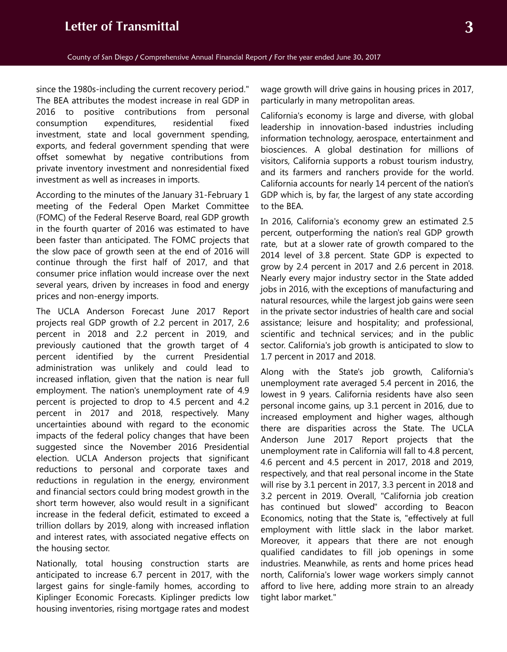since the 1980s-including the current recovery period." The BEA attributes the modest increase in real GDP in 2016 to positive contributions from personal consumption expenditures, residential fixed investment, state and local government spending, exports, and federal government spending that were offset somewhat by negative contributions from private inventory investment and nonresidential fixed investment as well as increases in imports.

According to the minutes of the January 31-February 1 meeting of the Federal Open Market Committee (FOMC) of the Federal Reserve Board, real GDP growth in the fourth quarter of 2016 was estimated to have been faster than anticipated. The FOMC projects that the slow pace of growth seen at the end of 2016 will continue through the first half of 2017, and that consumer price inflation would increase over the next several years, driven by increases in food and energy prices and non-energy imports.

The UCLA Anderson Forecast June 2017 Report projects real GDP growth of 2.2 percent in 2017, 2.6 percent in 2018 and 2.2 percent in 2019, and previously cautioned that the growth target of 4 percent identified by the current Presidential administration was unlikely and could lead to increased inflation, given that the nation is near full employment. The nation's unemployment rate of 4.9 percent is projected to drop to 4.5 percent and 4.2 percent in 2017 and 2018, respectively. Many uncertainties abound with regard to the economic impacts of the federal policy changes that have been suggested since the November 2016 Presidential election. UCLA Anderson projects that significant reductions to personal and corporate taxes and reductions in regulation in the energy, environment and financial sectors could bring modest growth in the short term however, also would result in a significant increase in the federal deficit, estimated to exceed a trillion dollars by 2019, along with increased inflation and interest rates, with associated negative effects on the housing sector.

Nationally, total housing construction starts are anticipated to increase 6.7 percent in 2017, with the largest gains for single-family homes, according to Kiplinger Economic Forecasts. Kiplinger predicts low housing inventories, rising mortgage rates and modest wage growth will drive gains in housing prices in 2017, particularly in many metropolitan areas.

California's economy is large and diverse, with global leadership in innovation-based industries including information technology, aerospace, entertainment and biosciences. A global destination for millions of visitors, California supports a robust tourism industry, and its farmers and ranchers provide for the world. California accounts for nearly 14 percent of the nation's GDP which is, by far, the largest of any state according to the BEA.

In 2016, California's economy grew an estimated 2.5 percent, outperforming the nation's real GDP growth rate, but at a slower rate of growth compared to the 2014 level of 3.8 percent. State GDP is expected to grow by 2.4 percent in 2017 and 2.6 percent in 2018. Nearly every major industry sector in the State added jobs in 2016, with the exceptions of manufacturing and natural resources, while the largest job gains were seen in the private sector industries of health care and social assistance; leisure and hospitality; and professional, scientific and technical services; and in the public sector. California's job growth is anticipated to slow to 1.7 percent in 2017 and 2018.

Along with the State's job growth, California's unemployment rate averaged 5.4 percent in 2016, the lowest in 9 years. California residents have also seen personal income gains, up 3.1 percent in 2016, due to increased employment and higher wages, although there are disparities across the State. The UCLA Anderson June 2017 Report projects that the unemployment rate in California will fall to 4.8 percent, 4.6 percent and 4.5 percent in 2017, 2018 and 2019, respectively, and that real personal income in the State will rise by 3.1 percent in 2017, 3.3 percent in 2018 and 3.2 percent in 2019. Overall, "California job creation has continued but slowed" according to Beacon Economics, noting that the State is, "effectively at full employment with little slack in the labor market. Moreover, it appears that there are not enough qualified candidates to fill job openings in some industries. Meanwhile, as rents and home prices head north, California's lower wage workers simply cannot afford to live here, adding more strain to an already tight labor market."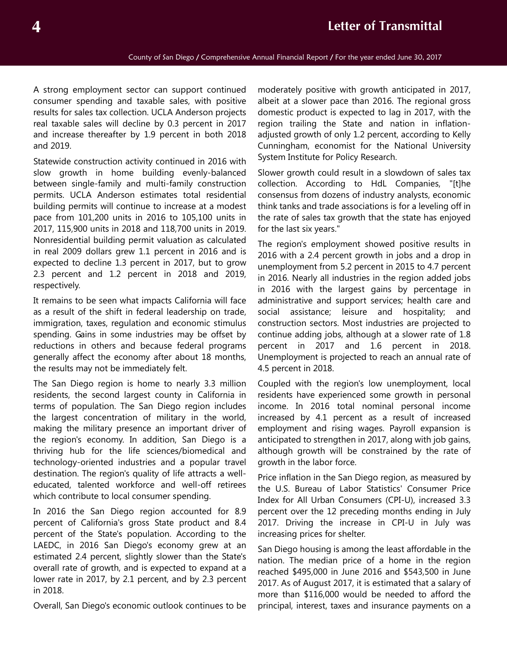# **4 Letter of Transmittal**

A strong employment sector can support continued consumer spending and taxable sales, with positive results for sales tax collection. UCLA Anderson projects real taxable sales will decline by 0.3 percent in 2017 and increase thereafter by 1.9 percent in both 2018 and 2019.

Statewide construction activity continued in 2016 with slow growth in home building evenly-balanced between single-family and multi-family construction permits. UCLA Anderson estimates total residential building permits will continue to increase at a modest pace from 101,200 units in 2016 to 105,100 units in 2017, 115,900 units in 2018 and 118,700 units in 2019. Nonresidential building permit valuation as calculated in real 2009 dollars grew 1.1 percent in 2016 and is expected to decline 1.3 percent in 2017, but to grow 2.3 percent and 1.2 percent in 2018 and 2019, respectively.

It remains to be seen what impacts California will face as a result of the shift in federal leadership on trade, immigration, taxes, regulation and economic stimulus spending. Gains in some industries may be offset by reductions in others and because federal programs generally affect the economy after about 18 months, the results may not be immediately felt.

The San Diego region is home to nearly 3.3 million residents, the second largest county in California in terms of population. The San Diego region includes the largest concentration of military in the world, making the military presence an important driver of the region's economy. In addition, San Diego is a thriving hub for the life sciences/biomedical and technology-oriented industries and a popular travel destination. The region's quality of life attracts a welleducated, talented workforce and well-off retirees which contribute to local consumer spending.

In 2016 the San Diego region accounted for 8.9 percent of California's gross State product and 8.4 percent of the State's population. According to the LAEDC, in 2016 San Diego's economy grew at an estimated 2.4 percent, slightly slower than the State's overall rate of growth, and is expected to expand at a lower rate in 2017, by 2.1 percent, and by 2.3 percent in 2018.

Overall, San Diego's economic outlook continues to be

moderately positive with growth anticipated in 2017, albeit at a slower pace than 2016. The regional gross domestic product is expected to lag in 2017, with the region trailing the State and nation in inflationadjusted growth of only 1.2 percent, according to Kelly Cunningham, economist for the National University System Institute for Policy Research.

Slower growth could result in a slowdown of sales tax collection. According to HdL Companies, "[t]he consensus from dozens of industry analysts, economic think tanks and trade associations is for a leveling off in the rate of sales tax growth that the state has enjoyed for the last six years."

The region's employment showed positive results in 2016 with a 2.4 percent growth in jobs and a drop in unemployment from 5.2 percent in 2015 to 4.7 percent in 2016. Nearly all industries in the region added jobs in 2016 with the largest gains by percentage in administrative and support services; health care and social assistance; leisure and hospitality; and construction sectors. Most industries are projected to continue adding jobs, although at a slower rate of 1.8 percent in 2017 and 1.6 percent in 2018. Unemployment is projected to reach an annual rate of 4.5 percent in 2018.

Coupled with the region's low unemployment, local residents have experienced some growth in personal income. In 2016 total nominal personal income increased by 4.1 percent as a result of increased employment and rising wages. Payroll expansion is anticipated to strengthen in 2017, along with job gains, although growth will be constrained by the rate of growth in the labor force.

Price inflation in the San Diego region, as measured by the U.S. Bureau of Labor Statistics' Consumer Price Index for All Urban Consumers (CPI-U), increased 3.3 percent over the 12 preceding months ending in July 2017. Driving the increase in CPI-U in July was increasing prices for shelter.

San Diego housing is among the least affordable in the nation. The median price of a home in the region reached \$495,000 in June 2016 and \$543,500 in June 2017. As of August 2017, it is estimated that a salary of more than \$116,000 would be needed to afford the principal, interest, taxes and insurance payments on a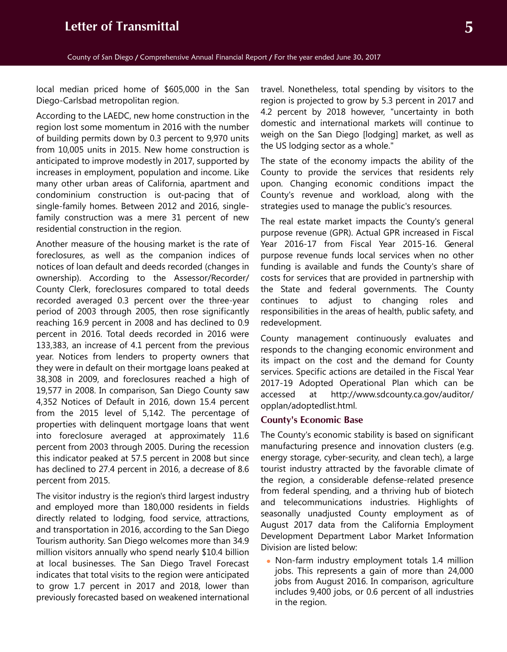local median priced home of \$605,000 in the San Diego-Carlsbad metropolitan region.

According to the LAEDC, new home construction in the region lost some momentum in 2016 with the number of building permits down by 0.3 percent to 9,970 units from 10,005 units in 2015. New home construction is anticipated to improve modestly in 2017, supported by increases in employment, population and income. Like many other urban areas of California, apartment and condominium construction is out-pacing that of single-family homes. Between 2012 and 2016, singlefamily construction was a mere 31 percent of new residential construction in the region.

Another measure of the housing market is the rate of foreclosures, as well as the companion indices of notices of loan default and deeds recorded (changes in ownership). According to the Assessor/Recorder/ County Clerk, foreclosures compared to total deeds recorded averaged 0.3 percent over the three-year period of 2003 through 2005, then rose significantly reaching 16.9 percent in 2008 and has declined to 0.9 percent in 2016. Total deeds recorded in 2016 were 133,383, an increase of 4.1 percent from the previous year. Notices from lenders to property owners that they were in default on their mortgage loans peaked at 38,308 in 2009, and foreclosures reached a high of 19,577 in 2008. In comparison, San Diego County saw 4,352 Notices of Default in 2016, down 15.4 percent from the 2015 level of 5,142. The percentage of properties with delinquent mortgage loans that went into foreclosure averaged at approximately 11.6 percent from 2003 through 2005. During the recession this indicator peaked at 57.5 percent in 2008 but since has declined to 27.4 percent in 2016, a decrease of 8.6 percent from 2015.

The visitor industry is the region's third largest industry and employed more than 180,000 residents in fields directly related to lodging, food service, attractions, and transportation in 2016, according to the San Diego Tourism authority. San Diego welcomes more than 34.9 million visitors annually who spend nearly \$10.4 billion at local businesses. The San Diego Travel Forecast indicates that total visits to the region were anticipated to grow 1.7 percent in 2017 and 2018, lower than previously forecasted based on weakened international travel. Nonetheless, total spending by visitors to the region is projected to grow by 5.3 percent in 2017 and 4.2 percent by 2018 however, "uncertainty in both domestic and international markets will continue to weigh on the San Diego [lodging] market, as well as the US lodging sector as a whole."

The state of the economy impacts the ability of the County to provide the services that residents rely upon. Changing economic conditions impact the County's revenue and workload, along with the strategies used to manage the public's resources.

The real estate market impacts the County's general purpose revenue (GPR). Actual GPR increased in Fiscal Year 2016-17 from Fiscal Year 2015-16. General purpose revenue funds local services when no other funding is available and funds the County's share of costs for services that are provided in partnership with the State and federal governments. The County continues to adjust to changing roles and responsibilities in the areas of health, public safety, and redevelopment.

County management continuously evaluates and responds to the changing economic environment and its impact on the cost and the demand for County services. Specific actions are detailed in the Fiscal Year 2017-19 Adopted Operational Plan which can be accessed at http://www.sdcounty.ca.gov/auditor/ opplan/adoptedlist.html.

#### **County's Economic Base**

The County's economic stability is based on significant manufacturing presence and innovation clusters (e.g. energy storage, cyber-security, and clean tech), a large tourist industry attracted by the favorable climate of the region, a considerable defense-related presence from federal spending, and a thriving hub of biotech and telecommunications industries. Highlights of seasonally unadjusted County employment as of August 2017 data from the California Employment Development Department Labor Market Information Division are listed below:

 Non-farm industry employment totals 1.4 million jobs. This represents a gain of more than 24,000 jobs from August 2016. In comparison, agriculture includes 9,400 jobs, or 0.6 percent of all industries in the region.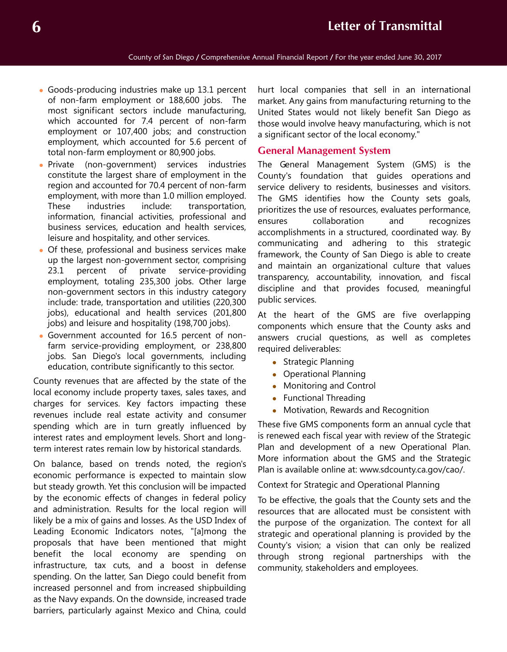- Goods-producing industries make up 13.1 percent of non-farm employment or 188,600 jobs. The most significant sectors include manufacturing, which accounted for 7.4 percent of non-farm employment or 107,400 jobs; and construction employment, which accounted for 5.6 percent of total non-farm employment or 80,900 jobs.
- Private (non-government) services industries constitute the largest share of employment in the region and accounted for 70.4 percent of non-farm employment, with more than 1.0 million employed. These industries include: transportation, information, financial activities, professional and business services, education and health services, leisure and hospitality, and other services.
- Of these, professional and business services make up the largest non-government sector, comprising 23.1 percent of private service-providing employment, totaling 235,300 jobs. Other large non-government sectors in this industry category include: trade, transportation and utilities (220,300 jobs), educational and health services (201,800 jobs) and leisure and hospitality (198,700 jobs).
- Government accounted for 16.5 percent of nonfarm service-providing employment, or 238,800 jobs. San Diego's local governments, including education, contribute significantly to this sector.

County revenues that are affected by the state of the local economy include property taxes, sales taxes, and charges for services. Key factors impacting these revenues include real estate activity and consumer spending which are in turn greatly influenced by interest rates and employment levels. Short and longterm interest rates remain low by historical standards.

On balance, based on trends noted, the region's economic performance is expected to maintain slow but steady growth. Yet this conclusion will be impacted by the economic effects of changes in federal policy and administration. Results for the local region will likely be a mix of gains and losses. As the USD Index of Leading Economic Indicators notes, "[a]mong the proposals that have been mentioned that might benefit the local economy are spending on infrastructure, tax cuts, and a boost in defense spending. On the latter, San Diego could benefit from increased personnel and from increased shipbuilding as the Navy expands. On the downside, increased trade barriers, particularly against Mexico and China, could

hurt local companies that sell in an international market. Any gains from manufacturing returning to the United States would not likely benefit San Diego as those would involve heavy manufacturing, which is not a significant sector of the local economy."

# **General Management System**

The General Management System (GMS) is the County's foundation that guides operations and service delivery to residents, businesses and visitors. The GMS identifies how the County sets goals, prioritizes the use of resources, evaluates performance, ensures collaboration and recognizes accomplishments in a structured, coordinated way. By communicating and adhering to this strategic framework, the County of San Diego is able to create and maintain an organizational culture that values transparency, accountability, innovation, and fiscal discipline and that provides focused, meaningful public services.

At the heart of the GMS are five overlapping components which ensure that the County asks and answers crucial questions, as well as completes required deliverables:

- Strategic Planning
- Operational Planning
- Monitoring and Control
- Functional Threading
- Motivation, Rewards and Recognition

These five GMS components form an annual cycle that is renewed each fiscal year with review of the Strategic Plan and development of a new Operational Plan. More information about the GMS and the Strategic Plan is available online at: www.sdcounty.ca.gov/cao/.

Context for Strategic and Operational Planning

To be effective, the goals that the County sets and the resources that are allocated must be consistent with the purpose of the organization. The context for all strategic and operational planning is provided by the County's vision; a vision that can only be realized through strong regional partnerships with the community, stakeholders and employees.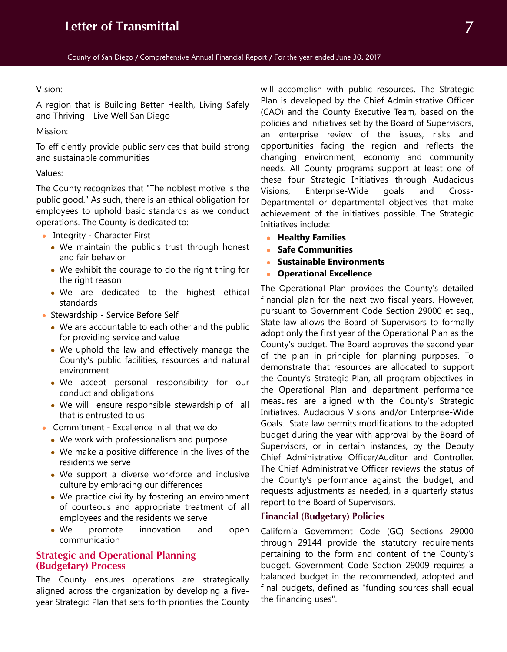#### Vision:

A region that is Building Better Health, Living Safely and Thriving - Live Well San Diego

Mission:

To efficiently provide public services that build strong and sustainable communities

#### Values:

The County recognizes that "The noblest motive is the public good." As such, there is an ethical obligation for employees to uphold basic standards as we conduct operations. The County is dedicated to:

- Integrity Character First
	- We maintain the public's trust through honest and fair behavior
	- We exhibit the courage to do the right thing for the right reason
	- We are dedicated to the highest ethical standards
- Stewardship Service Before Self
	- We are accountable to each other and the public for providing service and value
	- We uphold the law and effectively manage the County's public facilities, resources and natural environment
	- We accept personal responsibility for our conduct and obligations
	- We will ensure responsible stewardship of all that is entrusted to us
- Commitment Excellence in all that we do
	- We work with professionalism and purpose
	- We make a positive difference in the lives of the residents we serve
	- We support a diverse workforce and inclusive culture by embracing our differences
	- We practice civility by fostering an environment of courteous and appropriate treatment of all employees and the residents we serve
	- We promote innovation and open communication

# **Strategic and Operational Planning (Budgetary) Process**

The County ensures operations are strategically aligned across the organization by developing a fiveyear Strategic Plan that sets forth priorities the County will accomplish with public resources. The Strategic Plan is developed by the Chief Administrative Officer (CAO) and the County Executive Team, based on the policies and initiatives set by the Board of Supervisors, an enterprise review of the issues, risks and opportunities facing the region and reflects the changing environment, economy and community needs. All County programs support at least one of these four Strategic Initiatives through Audacious Visions, Enterprise-Wide goals and Cross-Departmental or departmental objectives that make achievement of the initiatives possible. The Strategic Initiatives include:

- **Healthy Families**
- **Safe Communities**
- **Sustainable Environments**
- **Operational Excellence**

The Operational Plan provides the County's detailed financial plan for the next two fiscal years. However, pursuant to Government Code Section 29000 et seq., State law allows the Board of Supervisors to formally adopt only the first year of the Operational Plan as the County's budget. The Board approves the second year of the plan in principle for planning purposes. To demonstrate that resources are allocated to support the County's Strategic Plan, all program objectives in the Operational Plan and department performance measures are aligned with the County's Strategic Initiatives, Audacious Visions and/or Enterprise-Wide Goals. State law permits modifications to the adopted budget during the year with approval by the Board of Supervisors, or in certain instances, by the Deputy Chief Administrative Officer/Auditor and Controller. The Chief Administrative Officer reviews the status of the County's performance against the budget, and requests adjustments as needed, in a quarterly status report to the Board of Supervisors.

## **Financial (Budgetary) Policies**

California Government Code (GC) Sections 29000 through 29144 provide the statutory requirements pertaining to the form and content of the County's budget. Government Code Section 29009 requires a balanced budget in the recommended, adopted and final budgets, defined as "funding sources shall equal the financing uses".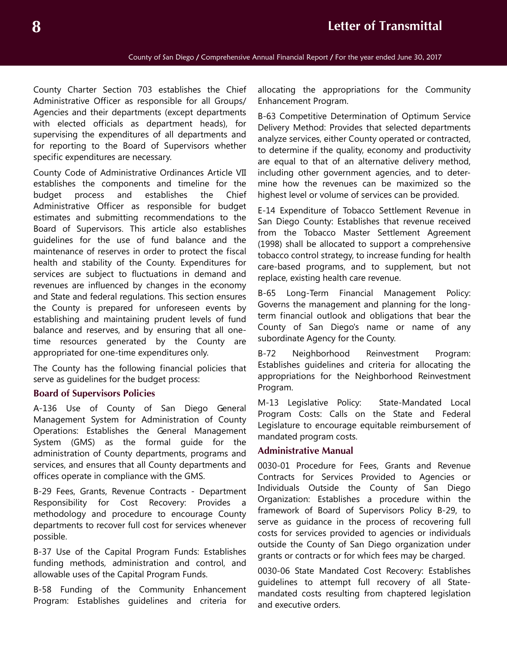County Charter Section 703 establishes the Chief Administrative Officer as responsible for all Groups/ Agencies and their departments (except departments with elected officials as department heads), for supervising the expenditures of all departments and for reporting to the Board of Supervisors whether specific expenditures are necessary.

County Code of Administrative Ordinances Article VII establishes the components and timeline for the budget process and establishes the Chief Administrative Officer as responsible for budget estimates and submitting recommendations to the Board of Supervisors. This article also establishes guidelines for the use of fund balance and the maintenance of reserves in order to protect the fiscal health and stability of the County. Expenditures for services are subject to fluctuations in demand and revenues are influenced by changes in the economy and State and federal regulations. This section ensures the County is prepared for unforeseen events by establishing and maintaining prudent levels of fund balance and reserves, and by ensuring that all onetime resources generated by the County are appropriated for one-time expenditures only.

The County has the following financial policies that serve as guidelines for the budget process:

#### **Board of Supervisors Policies**

A-136 Use of County of San Diego General Management System for Administration of County Operations: Establishes the General Management System (GMS) as the formal guide for the administration of County departments, programs and services, and ensures that all County departments and offices operate in compliance with the GMS.

B-29 Fees, Grants, Revenue Contracts - Department Responsibility for Cost Recovery: Provides a methodology and procedure to encourage County departments to recover full cost for services whenever possible.

B-37 Use of the Capital Program Funds: Establishes funding methods, administration and control, and allowable uses of the Capital Program Funds.

B-58 Funding of the Community Enhancement Program: Establishes guidelines and criteria for

allocating the appropriations for the Community Enhancement Program.

B-63 Competitive Determination of Optimum Service Delivery Method: Provides that selected departments analyze services, either County operated or contracted, to determine if the quality, economy and productivity are equal to that of an alternative delivery method, including other government agencies, and to determine how the revenues can be maximized so the highest level or volume of services can be provided.

E-14 Expenditure of Tobacco Settlement Revenue in San Diego County: Establishes that revenue received from the Tobacco Master Settlement Agreement (1998) shall be allocated to support a comprehensive tobacco control strategy, to increase funding for health care-based programs, and to supplement, but not replace, existing health care revenue.

B-65 Long-Term Financial Management Policy: Governs the management and planning for the longterm financial outlook and obligations that bear the County of San Diego's name or name of any subordinate Agency for the County.

B-72 Neighborhood Reinvestment Program: Establishes guidelines and criteria for allocating the appropriations for the Neighborhood Reinvestment Program.

M-13 Legislative Policy: State-Mandated Local Program Costs: Calls on the State and Federal Legislature to encourage equitable reimbursement of mandated program costs.

## **Administrative Manual**

0030-01 Procedure for Fees, Grants and Revenue Contracts for Services Provided to Agencies or Individuals Outside the County of San Diego Organization: Establishes a procedure within the framework of Board of Supervisors Policy B-29, to serve as guidance in the process of recovering full costs for services provided to agencies or individuals outside the County of San Diego organization under grants or contracts or for which fees may be charged.

0030-06 State Mandated Cost Recovery: Establishes guidelines to attempt full recovery of all Statemandated costs resulting from chaptered legislation and executive orders.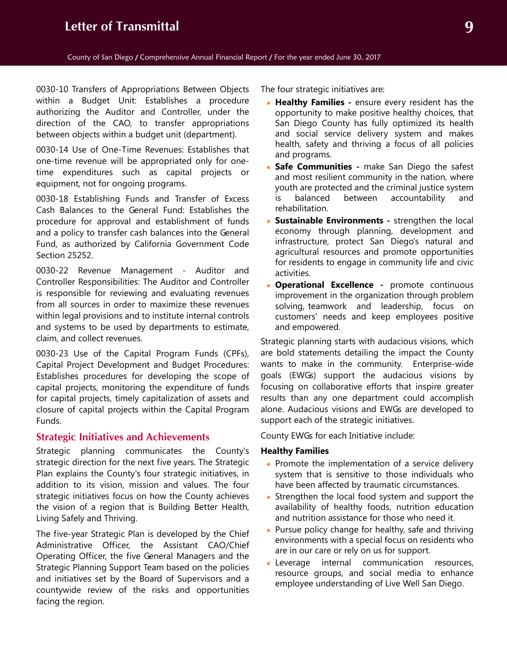0030-10 Transfers of Appropriations Between Objects within a Budget Unit: Establishes a procedure authorizing the Auditor and Controller, under the direction of the CAO, to transfer appropriations between objects within a budget unit (department).

0030-14 Use of One-Time Revenues: Establishes that one-time revenue will be appropriated only for onetime expenditures such as capital projects or equipment, not for ongoing programs.

0030-18 Establishing Funds and Transfer of Excess Cash Balances to the General Fund: Establishes the procedure for approval and establishment of funds and a policy to transfer cash balances into the General Fund, as authorized by California Government Code Section 25252.

0030-22 Revenue Management - Auditor and Controller Responsibilities: The Auditor and Controller is responsible for reviewing and evaluating revenues from all sources in order to maximize these revenues within legal provisions and to institute internal controls and systems to be used by departments to estimate, claim, and collect revenues.

0030-23 Use of the Capital Program Funds (CPFs), Capital Project Development and Budget Procedures: Establishes procedures for developing the scope of capital projects, monitoring the expenditure of funds for capital projects, timely capitalization of assets and closure of capital projects within the Capital Program Funds.

## **Strategic Initiatives and Achievements**

Strategic planning communicates the County's strategic direction for the next five years. The Strategic Plan explains the County's four strategic initiatives, in addition to its vision, mission and values. The four strategic initiatives focus on how the County achieves the vision of a region that is Building Better Health, Living Safely and Thriving.

The five-year Strategic Plan is developed by the Chief Administrative Officer, the Assistant CAO/Chief Operating Officer, the five General Managers and the Strategic Planning Support Team based on the policies and initiatives set by the Board of Supervisors and a countywide review of the risks and opportunities facing the region.

The four strategic initiatives are:

- **Healthy Families -** ensure every resident has the opportunity to make positive healthy choices, that San Diego County has fully optimized its health and social service delivery system and makes health, safety and thriving a focus of all policies and programs.
- **Safe Communities -** make San Diego the safest and most resilient community in the nation, where youth are protected and the criminal justice system is balanced between accountability and rehabilitation.
- **Sustainable Environments -** strengthen the local economy through planning, development and infrastructure, protect San Diego's natural and agricultural resources and promote opportunities for residents to engage in community life and civic activities.
- **Operational Excellence -** promote continuous improvement in the organization through problem solving, teamwork and leadership, focus on customers' needs and keep employees positive and empowered.

Strategic planning starts with audacious visions, which are bold statements detailing the impact the County wants to make in the community. Enterprise-wide goals (EWGs) support the audacious visions by focusing on collaborative efforts that inspire greater results than any one department could accomplish alone. Audacious visions and EWGs are developed to support each of the strategic initiatives.

County EWGs for each Initiative include:

### **Healthy Families**

- Promote the implementation of a service delivery system that is sensitive to those individuals who have been affected by traumatic circumstances.
- Strengthen the local food system and support the availability of healthy foods, nutrition education and nutrition assistance for those who need it.
- Pursue policy change for healthy, safe and thriving environments with a special focus on residents who are in our care or rely on us for support.
- Leverage internal communication resources, resource groups, and social media to enhance employee understanding of Live Well San Diego.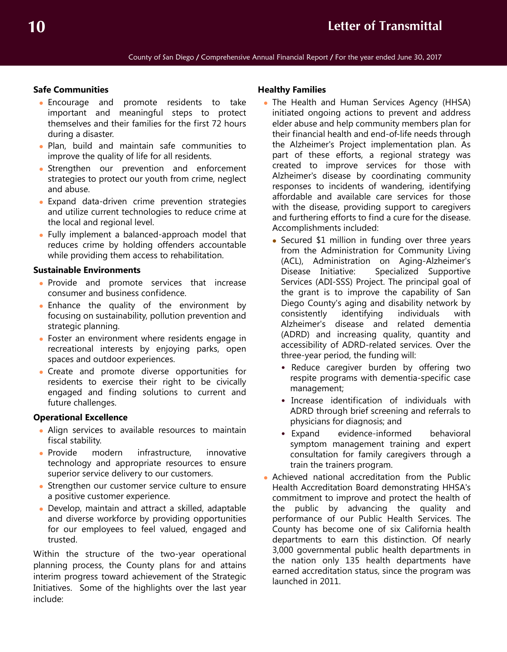## **Safe Communities**

- Encourage and promote residents to take important and meaningful steps to protect themselves and their families for the first 72 hours during a disaster.
- Plan, build and maintain safe communities to improve the quality of life for all residents.
- Strengthen our prevention and enforcement strategies to protect our youth from crime, neglect and abuse.
- Expand data-driven crime prevention strategies and utilize current technologies to reduce crime at the local and regional level.
- Fully implement a balanced-approach model that reduces crime by holding offenders accountable while providing them access to rehabilitation.

## **Sustainable Environments**

- Provide and promote services that increase consumer and business confidence.
- Enhance the quality of the environment by focusing on sustainability, pollution prevention and strategic planning.
- Foster an environment where residents engage in recreational interests by enjoying parks, open spaces and outdoor experiences.
- Create and promote diverse opportunities for residents to exercise their right to be civically engaged and finding solutions to current and future challenges.

## **Operational Excellence**

- Align services to available resources to maintain fiscal stability.
- Provide modern infrastructure, innovative technology and appropriate resources to ensure superior service delivery to our customers.
- Strengthen our customer service culture to ensure a positive customer experience.
- Develop, maintain and attract a skilled, adaptable and diverse workforce by providing opportunities for our employees to feel valued, engaged and trusted.

Within the structure of the two-year operational planning process, the County plans for and attains interim progress toward achievement of the Strategic Initiatives. Some of the highlights over the last year include:

#### **Healthy Families**

- The Health and Human Services Agency (HHSA) initiated ongoing actions to prevent and address elder abuse and help community members plan for their financial health and end-of-life needs through the Alzheimer's Project implementation plan. As part of these efforts, a regional strategy was created to improve services for those with Alzheimer's disease by coordinating community responses to incidents of wandering, identifying affordable and available care services for those with the disease, providing support to caregivers and furthering efforts to find a cure for the disease. Accomplishments included:
	- Secured \$1 million in funding over three years from the Administration for Community Living (ACL), Administration on Aging-Alzheimer's Disease Initiative: Specialized Supportive Services (ADI-SSS) Project. The principal goal of the grant is to improve the capability of San Diego County's aging and disability network by consistently identifying individuals with Alzheimer's disease and related dementia (ADRD) and increasing quality, quantity and accessibility of ADRD-related services. Over the three-year period, the funding will:
		- Reduce caregiver burden by offering two respite programs with dementia-specific case management;
		- Increase identification of individuals with ADRD through brief screening and referrals to physicians for diagnosis; and
		- Expand evidence-informed behavioral symptom management training and expert consultation for family caregivers through a train the trainers program.
- Achieved national accreditation from the Public Health Accreditation Board demonstrating HHSA's commitment to improve and protect the health of the public by advancing the quality and performance of our Public Health Services. The County has become one of six California health departments to earn this distinction. Of nearly 3,000 governmental public health departments in the nation only 135 health departments have earned accreditation status, since the program was launched in 2011.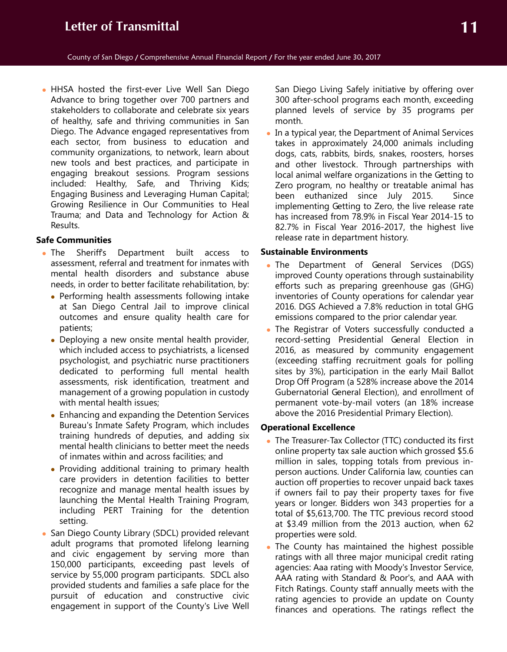HHSA hosted the first-ever Live Well San Diego Advance to bring together over 700 partners and stakeholders to collaborate and celebrate six years of healthy, safe and thriving communities in San Diego. The Advance engaged representatives from each sector, from business to education and community organizations, to network, learn about new tools and best practices, and participate in engaging breakout sessions. Program sessions included: Healthy, Safe, and Thriving Kids; Engaging Business and Leveraging Human Capital; Growing Resilience in Our Communities to Heal Trauma; and Data and Technology for Action & Results.

#### **Safe Communities**

- The Sheriffs Department built access to assessment, referral and treatment for inmates with mental health disorders and substance abuse needs, in order to better facilitate rehabilitation, by:
	- Performing health assessments following intake at San Diego Central Jail to improve clinical outcomes and ensure quality health care for patients;
	- Deploying a new onsite mental health provider, which included access to psychiatrists, a licensed psychologist, and psychiatric nurse practitioners dedicated to performing full mental health assessments, risk identification, treatment and management of a growing population in custody with mental health issues;
	- Enhancing and expanding the Detention Services Bureau's Inmate Safety Program, which includes training hundreds of deputies, and adding six mental health clinicians to better meet the needs of inmates within and across facilities; and
	- Providing additional training to primary health care providers in detention facilities to better recognize and manage mental health issues by launching the Mental Health Training Program, including PERT Training for the detention setting.
- San Diego County Library (SDCL) provided relevant adult programs that promoted lifelong learning and civic engagement by serving more than 150,000 participants, exceeding past levels of service by 55,000 program participants. SDCL also provided students and families a safe place for the pursuit of education and constructive civic engagement in support of the County's Live Well

San Diego Living Safely initiative by offering over 300 after-school programs each month, exceeding planned levels of service by 35 programs per month.

 In a typical year, the Department of Animal Services takes in approximately 24,000 animals including dogs, cats, rabbits, birds, snakes, roosters, horses and other livestock. Through partnerships with local animal welfare organizations in the Getting to Zero program, no healthy or treatable animal has been euthanized since July 2015. Since implementing Getting to Zero, the live release rate has increased from 78.9% in Fiscal Year 2014-15 to 82.7% in Fiscal Year 2016-2017, the highest live release rate in department history.

#### **Sustainable Environments**

- The Department of General Services (DGS) improved County operations through sustainability efforts such as preparing greenhouse gas (GHG) inventories of County operations for calendar year 2016. DGS Achieved a 7.8% reduction in total GHG emissions compared to the prior calendar year.
- The Registrar of Voters successfully conducted a record-setting Presidential General Election in 2016, as measured by community engagement (exceeding staffing recruitment goals for polling sites by 3%), participation in the early Mail Ballot Drop Off Program (a 528% increase above the 2014 Gubernatorial General Election), and enrollment of permanent vote-by-mail voters (an 18% increase above the 2016 Presidential Primary Election).

## **Operational Excellence**

- The Treasurer-Tax Collector (TTC) conducted its first online property tax sale auction which grossed \$5.6 million in sales, topping totals from previous inperson auctions. Under California law, counties can auction off properties to recover unpaid back taxes if owners fail to pay their property taxes for five years or longer. Bidders won 343 properties for a total of \$5,613,700. The TTC previous record stood at \$3.49 million from the 2013 auction, when 62 properties were sold.
- The County has maintained the highest possible ratings with all three major municipal credit rating agencies: Aaa rating with Moody's Investor Service, AAA rating with Standard & Poor's, and AAA with Fitch Ratings. County staff annually meets with the rating agencies to provide an update on County finances and operations. The ratings reflect the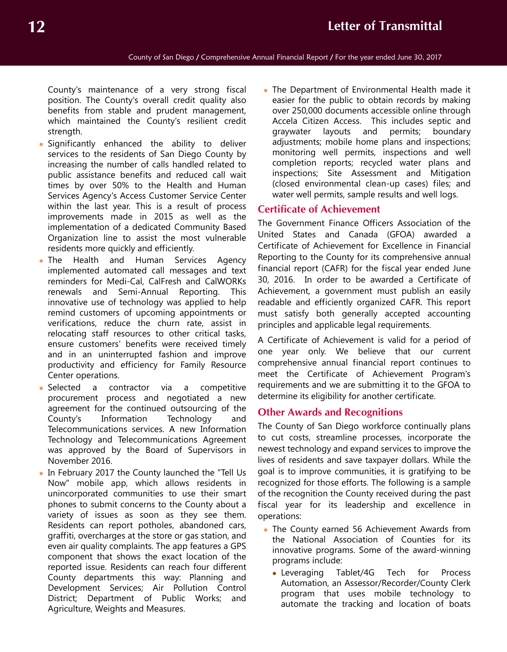County's maintenance of a very strong fiscal position. The County's overall credit quality also benefits from stable and prudent management, which maintained the County's resilient credit strength.

- Significantly enhanced the ability to deliver services to the residents of San Diego County by increasing the number of calls handled related to public assistance benefits and reduced call wait times by over 50% to the Health and Human Services Agency's Access Customer Service Center within the last year. This is a result of process improvements made in 2015 as well as the implementation of a dedicated Community Based Organization line to assist the most vulnerable residents more quickly and efficiently.
- The Health and Human Services Agency implemented automated call messages and text reminders for Medi-Cal, CalFresh and CalWORKs renewals and Semi-Annual Reporting. This innovative use of technology was applied to help remind customers of upcoming appointments or verifications, reduce the churn rate, assist in relocating staff resources to other critical tasks, ensure customers' benefits were received timely and in an uninterrupted fashion and improve productivity and efficiency for Family Resource Center operations.
- Selected a contractor via a competitive procurement process and negotiated a new agreement for the continued outsourcing of the County's Information Technology and Telecommunications services. A new Information Technology and Telecommunications Agreement was approved by the Board of Supervisors in November 2016.
- In February 2017 the County launched the "Tell Us Now" mobile app, which allows residents in unincorporated communities to use their smart phones to submit concerns to the County about a variety of issues as soon as they see them. Residents can report potholes, abandoned cars, graffiti, overcharges at the store or gas station, and even air quality complaints. The app features a GPS component that shows the exact location of the reported issue. Residents can reach four different County departments this way: Planning and Development Services; Air Pollution Control District; Department of Public Works; and Agriculture, Weights and Measures.

• The Department of Environmental Health made it easier for the public to obtain records by making over 250,000 documents accessible online through Accela Citizen Access. This includes septic and graywater layouts and permits; boundary adjustments; mobile home plans and inspections; monitoring well permits, inspections and well completion reports; recycled water plans and inspections; Site Assessment and Mitigation (closed environmental clean-up cases) files; and water well permits, sample results and well logs.

# **Certificate of Achievement**

The Government Finance Officers Association of the United States and Canada (GFOA) awarded a Certificate of Achievement for Excellence in Financial Reporting to the County for its comprehensive annual financial report (CAFR) for the fiscal year ended June 30, 2016. In order to be awarded a Certificate of Achievement, a government must publish an easily readable and efficiently organized CAFR. This report must satisfy both generally accepted accounting principles and applicable legal requirements.

A Certificate of Achievement is valid for a period of one year only. We believe that our current comprehensive annual financial report continues to meet the Certificate of Achievement Program's requirements and we are submitting it to the GFOA to determine its eligibility for another certificate.

## **Other Awards and Recognitions**

The County of San Diego workforce continually plans to cut costs, streamline processes, incorporate the newest technology and expand services to improve the lives of residents and save taxpayer dollars. While the goal is to improve communities, it is gratifying to be recognized for those efforts. The following is a sample of the recognition the County received during the past fiscal year for its leadership and excellence in operations:

- The County earned 56 Achievement Awards from the National Association of Counties for its innovative programs. Some of the award-winning programs include:
	- Leveraging Tablet/4G Tech for Process Automation, an Assessor/Recorder/County Clerk program that uses mobile technology to automate the tracking and location of boats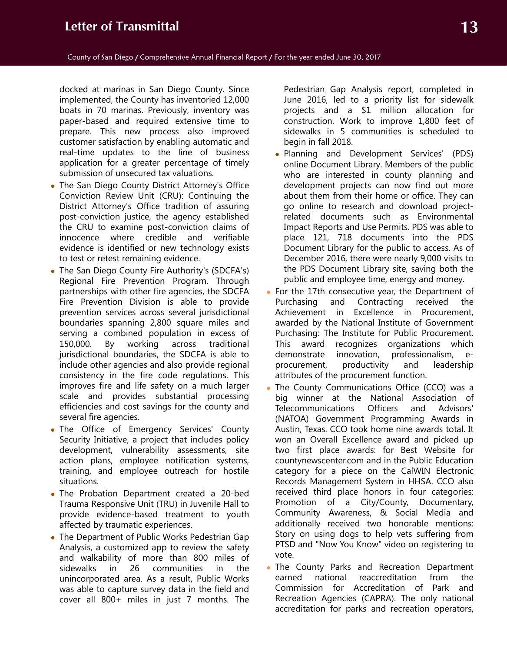docked at marinas in San Diego County. Since implemented, the County has inventoried 12,000 boats in 70 marinas. Previously, inventory was paper-based and required extensive time to prepare. This new process also improved customer satisfaction by enabling automatic and real-time updates to the line of business application for a greater percentage of timely submission of unsecured tax valuations.

- The San Diego County District Attorney's Office Conviction Review Unit (CRU): Continuing the District Attorney's Office tradition of assuring post-conviction justice, the agency established the CRU to examine post-conviction claims of innocence where credible and verifiable evidence is identified or new technology exists to test or retest remaining evidence.
- The San Diego County Fire Authority's (SDCFA's) Regional Fire Prevention Program. Through partnerships with other fire agencies, the SDCFA Fire Prevention Division is able to provide prevention services across several jurisdictional boundaries spanning 2,800 square miles and serving a combined population in excess of 150,000. By working across traditional jurisdictional boundaries, the SDCFA is able to include other agencies and also provide regional consistency in the fire code regulations. This improves fire and life safety on a much larger scale and provides substantial processing efficiencies and cost savings for the county and several fire agencies.
- The Office of Emergency Services' County Security Initiative, a project that includes policy development, vulnerability assessments, site action plans, employee notification systems, training, and employee outreach for hostile situations.
- The Probation Department created a 20-bed Trauma Responsive Unit (TRU) in Juvenile Hall to provide evidence-based treatment to youth affected by traumatic experiences.
- The Department of Public Works Pedestrian Gap Analysis, a customized app to review the safety and walkability of more than 800 miles of sidewalks in 26 communities in the unincorporated area. As a result, Public Works was able to capture survey data in the field and cover all 800+ miles in just 7 months. The

Pedestrian Gap Analysis report, completed in June 2016, led to a priority list for sidewalk projects and a \$1 million allocation for construction. Work to improve 1,800 feet of sidewalks in 5 communities is scheduled to begin in fall 2018.

- Planning and Development Services' (PDS) online Document Library. Members of the public who are interested in county planning and development projects can now find out more about them from their home or office. They can go online to research and download projectrelated documents such as Environmental Impact Reports and Use Permits. PDS was able to place 121, 718 documents into the PDS Document Library for the public to access. As of December 2016, there were nearly 9,000 visits to the PDS Document Library site, saving both the public and employee time, energy and money.
- For the 17th consecutive year, the Department of Purchasing and Contracting received the Achievement in Excellence in Procurement, awarded by the National Institute of Government Purchasing: The Institute for Public Procurement. This award recognizes organizations which demonstrate innovation, professionalism, eprocurement, productivity and leadership attributes of the procurement function.
- The County Communications Office (CCO) was a big winner at the National Association of Telecommunications Officers and Advisors' (NATOA) Government Programming Awards in Austin, Texas. CCO took home nine awards total. It won an Overall Excellence award and picked up two first place awards: for Best Website for countynewscenter.com and in the Public Education category for a piece on the CalWIN Electronic Records Management System in HHSA. CCO also received third place honors in four categories: Promotion of a City/County, Documentary, Community Awareness, & Social Media and additionally received two honorable mentions: Story on using dogs to help vets suffering from PTSD and "Now You Know" video on registering to vote.
- The County Parks and Recreation Department earned national reaccreditation from the Commission for Accreditation of Park and Recreation Agencies (CAPRA). The only national accreditation for parks and recreation operators,